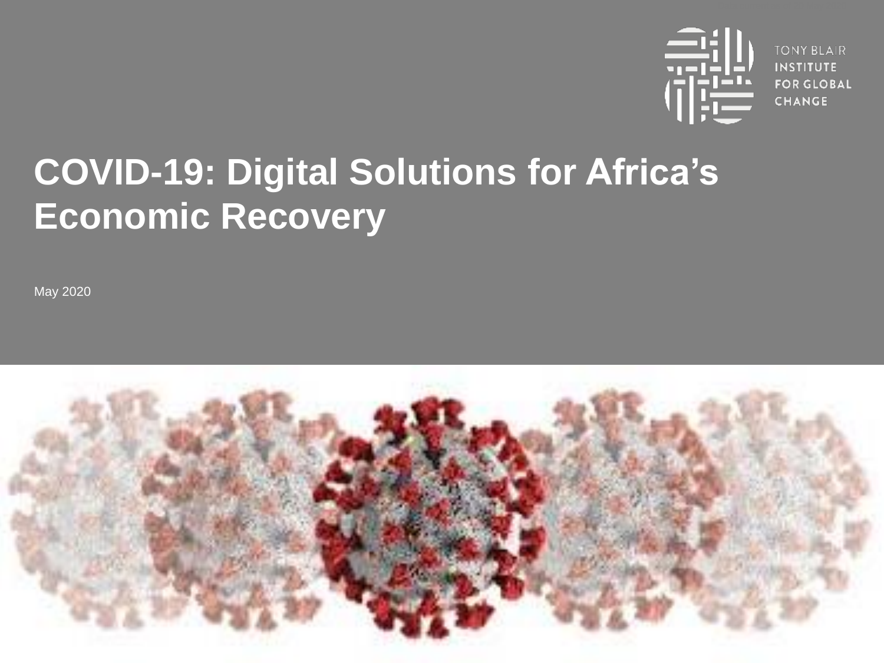

**TONY BLAIR INSTITUTE FOR GLOBAL CHANGE** 

# **COVID-19: Digital Solutions for Africa's Economic Recovery**

May 2020

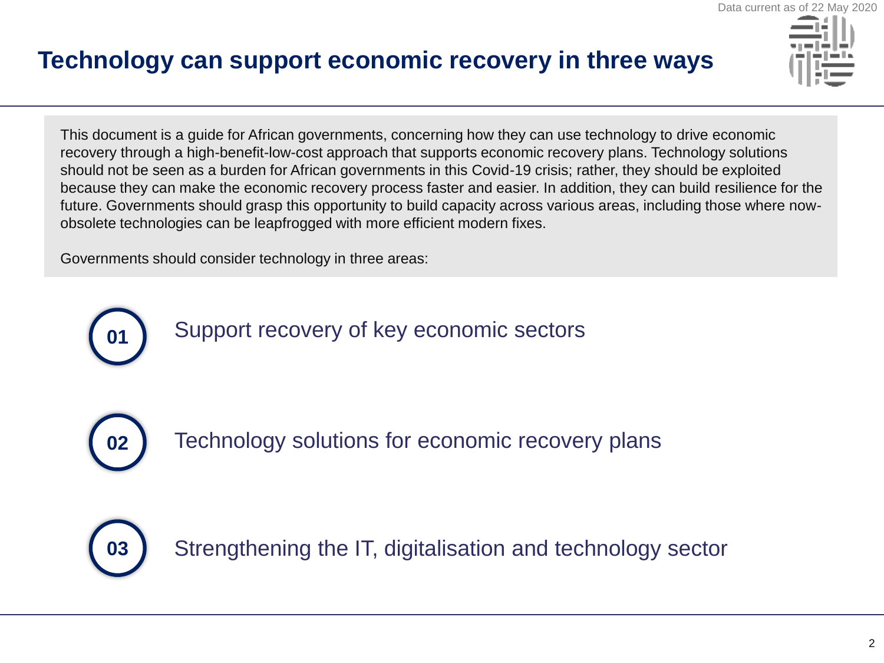# **Technology can support economic recovery in three ways**



This document is a guide for African governments, concerning how they can use technology to drive economic recovery through a high-benefit-low-cost approach that supports economic recovery plans. Technology solutions should not be seen as a burden for African governments in this Covid-19 crisis; rather, they should be exploited because they can make the economic recovery process faster and easier. In addition, they can build resilience for the future. Governments should grasp this opportunity to build capacity across various areas, including those where nowobsolete technologies can be leapfrogged with more efficient modern fixes.

Governments should consider technology in three areas:



**02**

Technology solutions for economic recovery plans



Strengthening the IT, digitalisation and technology sector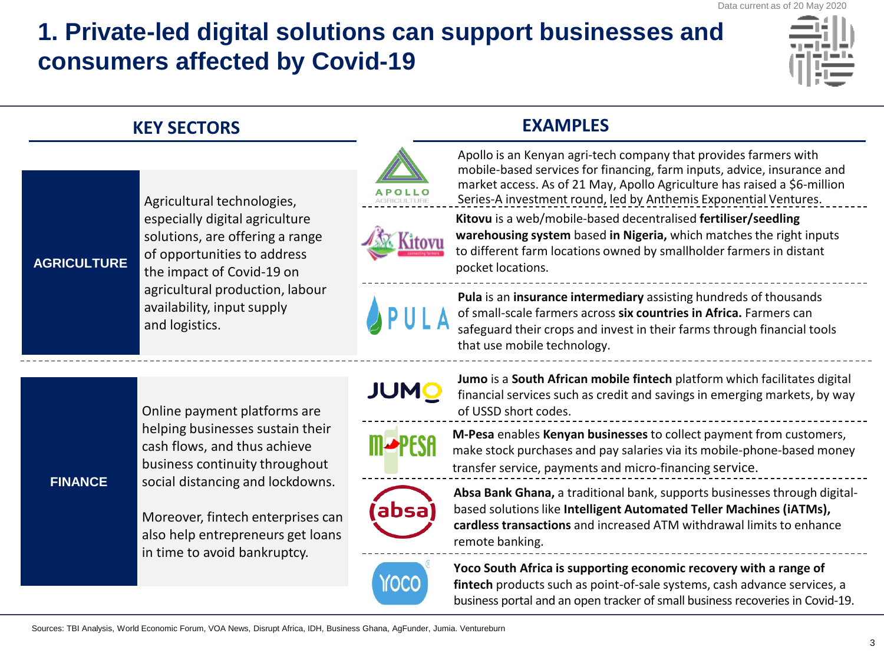# **1. Private-led digital solutions can support businesses and consumers affected by Covid-19**



|  | <b>KEY SECTORS</b> |                                                                                                                                                                                                                                                                                  | <b>EXAMPLES</b> |                                                                                                                                                                                                                                                                                             |
|--|--------------------|----------------------------------------------------------------------------------------------------------------------------------------------------------------------------------------------------------------------------------------------------------------------------------|-----------------|---------------------------------------------------------------------------------------------------------------------------------------------------------------------------------------------------------------------------------------------------------------------------------------------|
|  |                    | Agricultural technologies,                                                                                                                                                                                                                                                       |                 | Apollo is an Kenyan agri-tech company that provides farmers with<br>mobile-based services for financing, farm inputs, advice, insurance and<br>market access. As of 21 May, Apollo Agriculture has raised a \$6-million<br>Series-A investment round, led by Anthemis Exponential Ventures. |
|  | <b>AGRICULTURE</b> | especially digital agriculture<br>solutions, are offering a range<br>of opportunities to address<br>the impact of Covid-19 on<br>agricultural production, labour<br>availability, input supply<br>and logistics.                                                                 |                 | Kitovu is a web/mobile-based decentralised fertiliser/seedling<br>warehousing system based in Nigeria, which matches the right inputs<br>to different farm locations owned by smallholder farmers in distant<br>pocket locations.                                                           |
|  |                    |                                                                                                                                                                                                                                                                                  |                 | Pula is an insurance intermediary assisting hundreds of thousands<br>of small-scale farmers across six countries in Africa. Farmers can<br>safeguard their crops and invest in their farms through financial tools<br>that use mobile technology.                                           |
|  | <b>FINANCE</b>     | Online payment platforms are<br>helping businesses sustain their<br>cash flows, and thus achieve<br>business continuity throughout<br>social distancing and lockdowns.<br>Moreover, fintech enterprises can<br>also help entrepreneurs get loans<br>in time to avoid bankruptcy. | <b>JUMO</b>     | Jumo is a South African mobile fintech platform which facilitates digital<br>financial services such as credit and savings in emerging markets, by way<br>of USSD short codes.                                                                                                              |
|  |                    |                                                                                                                                                                                                                                                                                  |                 | M-Pesa enables Kenyan businesses to collect payment from customers,<br>make stock purchases and pay salaries via its mobile-phone-based money<br>transfer service, payments and micro-financing service.                                                                                    |
|  |                    |                                                                                                                                                                                                                                                                                  | absa)           | Absa Bank Ghana, a traditional bank, supports businesses through digital-<br>based solutions like Intelligent Automated Teller Machines (iATMs),<br>cardless transactions and increased ATM withdrawal limits to enhance<br>remote banking.                                                 |
|  |                    |                                                                                                                                                                                                                                                                                  |                 | Yoco South Africa is supporting economic recovery with a range of<br>fintech products such as point-of-sale systems, cash advance services, a<br>business portal and an open tracker of small business recoveries in Covid-19.                                                              |

 $- - - -$ 

 $- - - -$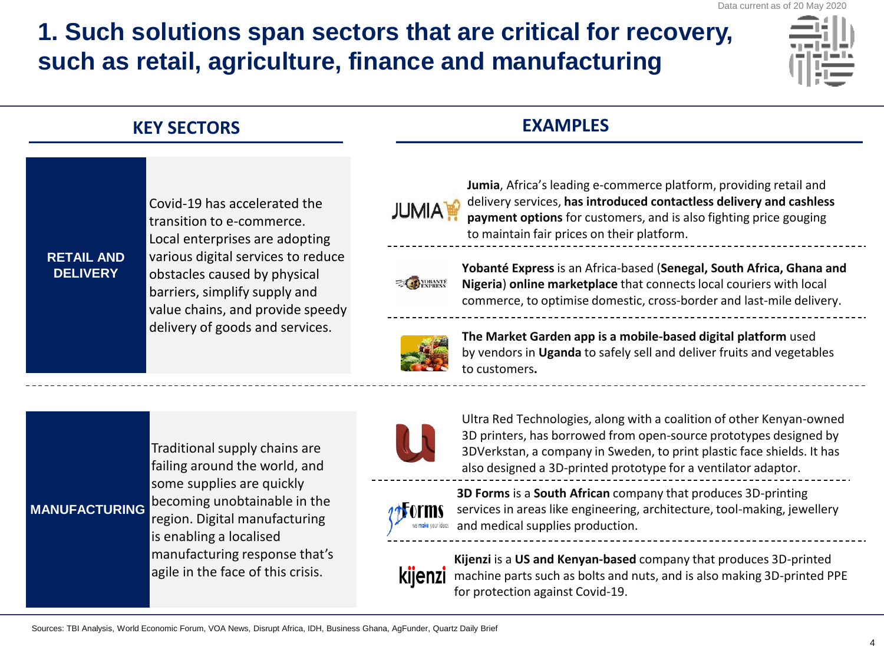# **1. Such solutions span sectors that are critical for recovery, such as retail, agriculture, finance and manufacturing**



|                                      | <b>KEY SECTORS</b>                                                                                                                                                                                                                                                        | <b>EXAMPLES</b> |                                                                                                                                                                                                                                                                                       |
|--------------------------------------|---------------------------------------------------------------------------------------------------------------------------------------------------------------------------------------------------------------------------------------------------------------------------|-----------------|---------------------------------------------------------------------------------------------------------------------------------------------------------------------------------------------------------------------------------------------------------------------------------------|
|                                      | Covid-19 has accelerated the<br>transition to e-commerce.<br>Local enterprises are adopting<br>various digital services to reduce<br>obstacles caused by physical<br>barriers, simplify supply and<br>value chains, and provide speedy<br>delivery of goods and services. | <b>JUMIA</b>    | Jumia, Africa's leading e-commerce platform, providing retail and<br>delivery services, has introduced contactless delivery and cashless<br>payment options for customers, and is also fighting price gouging<br>to maintain fair prices on their platform.                           |
| <b>RETAIL AND</b><br><b>DELIVERY</b> |                                                                                                                                                                                                                                                                           | <b>EXPRESS</b>  | Yobanté Express is an Africa-based (Senegal, South Africa, Ghana and<br>Nigeria) online marketplace that connects local couriers with local<br>commerce, to optimise domestic, cross-border and last-mile delivery.                                                                   |
|                                      |                                                                                                                                                                                                                                                                           |                 | The Market Garden app is a mobile-based digital platform used<br>by vendors in Uganda to safely sell and deliver fruits and vegetables<br>to customers.                                                                                                                               |
|                                      | Traditional supply chains are<br>failing around the world, and<br>some supplies are quickly<br>becoming unobtainable in the<br>region. Digital manufacturing<br>is enabling a localised<br>manufacturing response that's<br>agile in the face of this crisis.             |                 | Ultra Red Technologies, along with a coalition of other Kenyan-owned<br>3D printers, has borrowed from open-source prototypes designed by<br>3DVerkstan, a company in Sweden, to print plastic face shields. It has<br>also designed a 3D-printed prototype for a ventilator adaptor. |
| <b>MANUFACTURING</b>                 |                                                                                                                                                                                                                                                                           |                 | 3D Forms is a South African company that produces 3D-printing<br>services in areas like engineering, architecture, tool-making, jewellery<br>and medical supplies production.                                                                                                         |
|                                      |                                                                                                                                                                                                                                                                           |                 | Kijenzi is a US and Kenyan-based company that produces 3D-printed<br>machine parts such as bolts and nuts, and is also making 3D-printed PPE<br>for protection against Covid-19.                                                                                                      |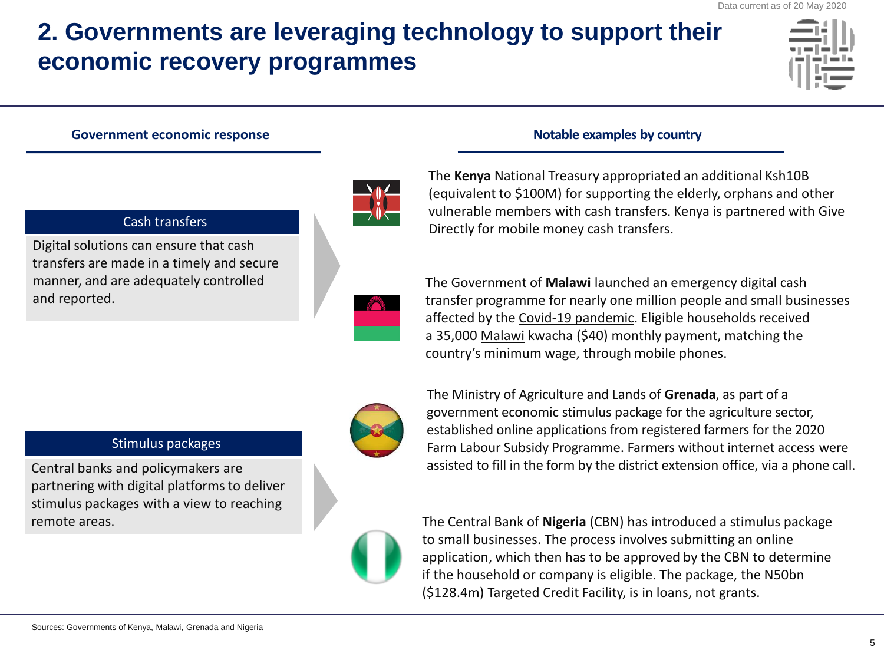# **2. Governments are leveraging technology to support their economic recovery programmes**



### **Government economic response Source According to the Source According Sovernment economic response** Notable examples by country



### Cash transfers

Digital solutions can ensure that cash transfers are made in a timely and secure manner, and are adequately controlled and reported.



The **Kenya** National Treasury appropriated an additional Ksh10B (equivalent to \$100M) for supporting the elderly, orphans and other vulnerable members with cash transfers. Kenya is partnered with Give Directly for mobile money cash transfers.

The Government of **Malawi** launched an emergency digital cash transfer programme for nearly one million people and small businesses affected by the [Covid-19 pandemic.](https://face2faceafrica.com/article/what-will-be-the-normal-times-for-africa-in-the-coronavirus-pandemic-era) Eligible households received a 35,000 [Malawi](https://face2faceafrica.com/article/how-an-intriguing-drama-made-malawis-joyce-banda-africas-second-woman-president) kwacha (\$40) monthly payment, matching the country's minimum wage, through mobile phones.

### Stimulus packages

Central banks and policymakers are partnering with digital platforms to deliver stimulus packages with a view to reaching remote areas.



The Ministry of Agriculture and Lands of **Grenada**, as part of a government economic stimulus package for the agriculture sector, established online applications from registered farmers for the 2020 Farm Labour Subsidy Programme. Farmers without internet access were assisted to fill in the form by the district extension office, via a phone call.



The Central Bank of **Nigeria** (CBN) has introduced a stimulus package to small businesses. The process involves submitting an online application, which then has to be approved by the CBN to determine if the household or company is eligible. The package, the N50bn (\$128.4m) Targeted Credit Facility, is in loans, not grants.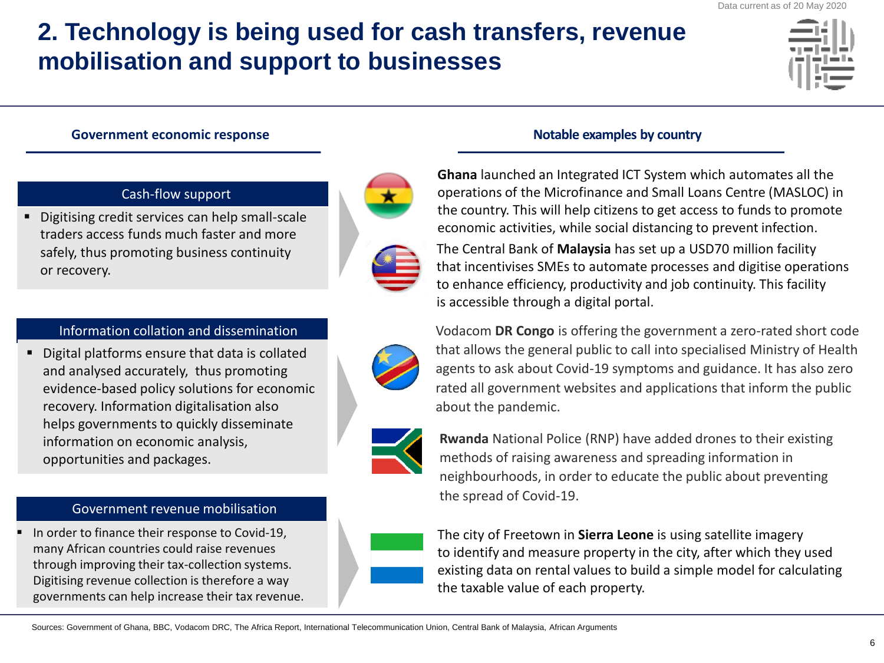# **2. Technology is being used for cash transfers, revenue mobilisation and support to businesses**

### Government economic response **Notable examples by country Notable examples by country**

### Cash-flow support

Digitising credit services can help small-scale traders access funds much faster and more safely, thus promoting business continuity or recovery.





### Information collation and dissemination

■ Digital platforms ensure that data is collated and analysed accurately, thus promoting evidence-based policy solutions for economic recovery. Information digitalisation also helps governments to quickly disseminate information on economic analysis, opportunities and packages.





### Government revenue mobilisation

In order to finance their response to Covid-19, many African countries could raise revenues through improving their tax-collection systems. Digitising revenue collection is therefore a way governments can help increase their tax revenue.



**Ghana** launched an Integrated ICT System which automates all the operations of the Microfinance and Small Loans Centre (MASLOC) in the country. This will help citizens to get access to funds to promote economic activities, while social distancing to prevent infection.

The Central Bank of **Malaysia** has set up a USD70 million facility that incentivises SMEs to automate processes and digitise operations to enhance efficiency, productivity and job continuity. This facility is accessible through a digital portal.

Vodacom **DR Congo** is offering the government a zero-rated short code that allows the general public to call into specialised Ministry of Health agents to ask about Covid-19 symptoms and guidance. It has also zero rated all government websites and applications that inform the public about the pandemic.

**Rwanda** National Police (RNP) have added drones to their existing methods of raising awareness and spreading information in neighbourhoods, in order to educate the public about preventing the spread of Covid-19.

The city of Freetown in **Sierra Leone** is using satellite imagery to identify and measure property in the city, after which they used existing data on rental values to build a simple model for calculating the taxable value of each property.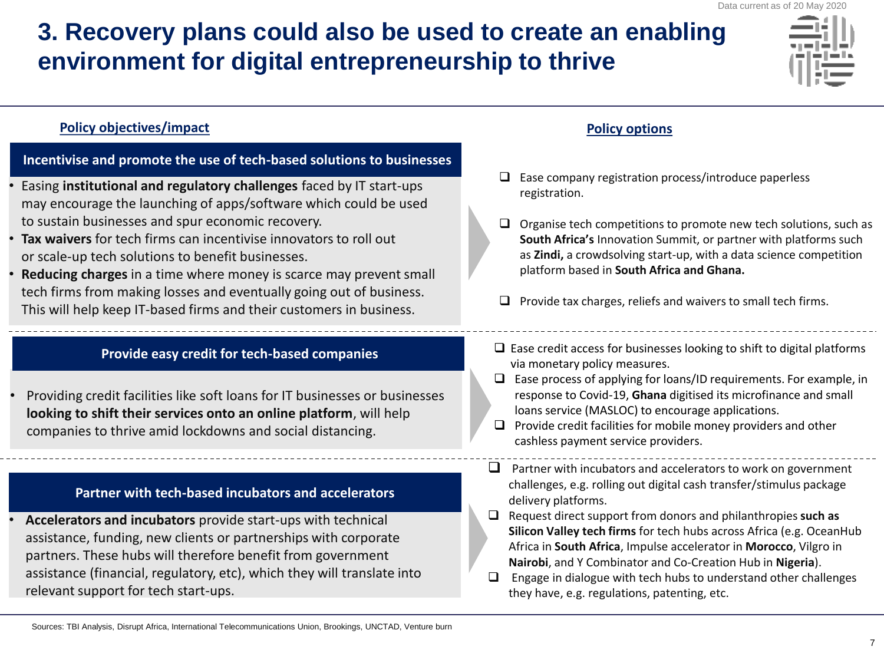# **3. Recovery plans could also be used to create an enabling environment for digital entrepreneurship to thrive**



### **Policy objectives/impact Policy options**

### **Incentivise and promote the use of tech-based solutions to businesses**

- Easing **institutional and regulatory challenges** faced by IT start-ups may encourage the launching of apps/software which could be used to sustain businesses and spur economic recovery.
- **Tax waivers** for tech firms can incentivise innovators to roll out or scale-up tech solutions to benefit businesses.
- **Reducing charges** in a time where money is scarce may prevent small tech firms from making losses and eventually going out of business. This will help keep IT-based firms and their customers in business.

### **Provide easy credit for tech-based companies**

• Providing credit facilities like soft loans for IT businesses or businesses **looking to shift their services onto an online platform**, will help companies to thrive amid lockdowns and social distancing.

### **Partner with tech-based incubators and accelerators**

• **Accelerators and incubators** provide start-ups with technical assistance, funding, new clients or partnerships with corporate partners. These hubs will therefore benefit from government assistance (financial, regulatory, etc), which they will translate into relevant support for tech start-ups.

- ❑ Ease company registration process/introduce paperless registration.
- ❑ Organise tech competitions to promote new tech solutions, such as **South Africa's** Innovation Summit, or partner with platforms such as **Zindi,** a crowdsolving start-up, with a data science competition platform based in **South Africa and Ghana.**
- $\Box$  Provide tax charges, reliefs and waivers to small tech firms.
- ❑ Ease credit access for businesses looking to shift to digital platforms via monetary policy measures.
- ❑ Ease process of applying for loans/ID requirements. For example, in response to Covid-19, **Ghana** digitised its microfinance and small loans service (MASLOC) to encourage applications.
- $\Box$  Provide credit facilities for mobile money providers and other cashless payment service providers.
- $\Box$  Partner with incubators and accelerators to work on government challenges, e.g. rolling out digital cash transfer/stimulus package delivery platforms.
- ❑ Request direct support from donors and philanthropies **such as Silicon Valley tech firms** for tech hubs across Africa (e.g. OceanHub Africa in **South Africa**, Impulse accelerator in **Morocco**, Vilgro in **Nairobi**, and Y Combinator and Co-Creation Hub in **Nigeria**).
- $\Box$  Engage in dialogue with tech hubs to understand other challenges they have, e.g. regulations, patenting, etc.